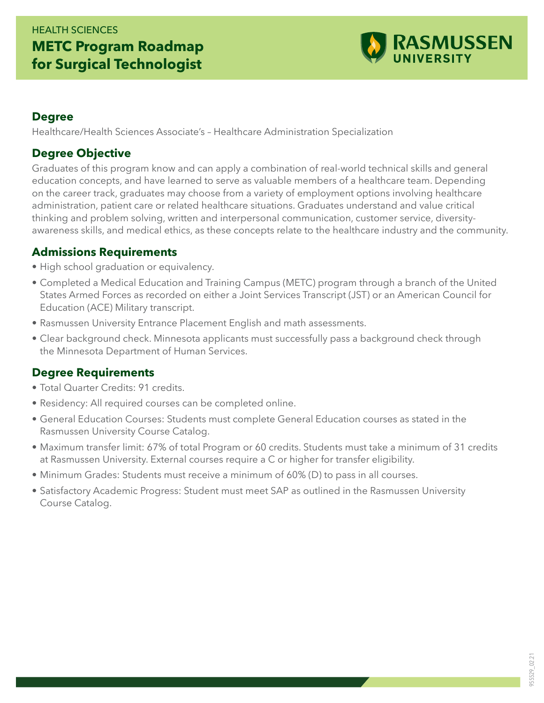## HEALTH SCIENCES **METC Program Roadmap for Surgical Technologist**



#### **Degree**

Healthcare/Health Sciences Associate's – Healthcare Administration Specialization

#### **Degree Objective**

Graduates of this program know and can apply a combination of real-world technical skills and general education concepts, and have learned to serve as valuable members of a healthcare team. Depending on the career track, graduates may choose from a variety of employment options involving healthcare administration, patient care or related healthcare situations. Graduates understand and value critical thinking and problem solving, written and interpersonal communication, customer service, diversityawareness skills, and medical ethics, as these concepts relate to the healthcare industry and the community.

#### **Admissions Requirements**

- High school graduation or equivalency.
- Completed a Medical Education and Training Campus (METC) program through a branch of the United States Armed Forces as recorded on either a Joint Services Transcript (JST) or an American Council for Education (ACE) Military transcript.
- Rasmussen University Entrance Placement English and math assessments.
- Clear background check. Minnesota applicants must successfully pass a background check through the Minnesota Department of Human Services.

### **Degree Requirements**

- Total Quarter Credits: 91 credits.
- Residency: All required courses can be completed online.
- General Education Courses: Students must complete General Education courses as stated in the Rasmussen University Course Catalog.
- Maximum transfer limit: 67% of total Program or 60 credits. Students must take a minimum of 31 credits at Rasmussen University. External courses require a C or higher for transfer eligibility.
- Minimum Grades: Students must receive a minimum of 60% (D) to pass in all courses.
- Satisfactory Academic Progress: Student must meet SAP as outlined in the Rasmussen University Course Catalog.